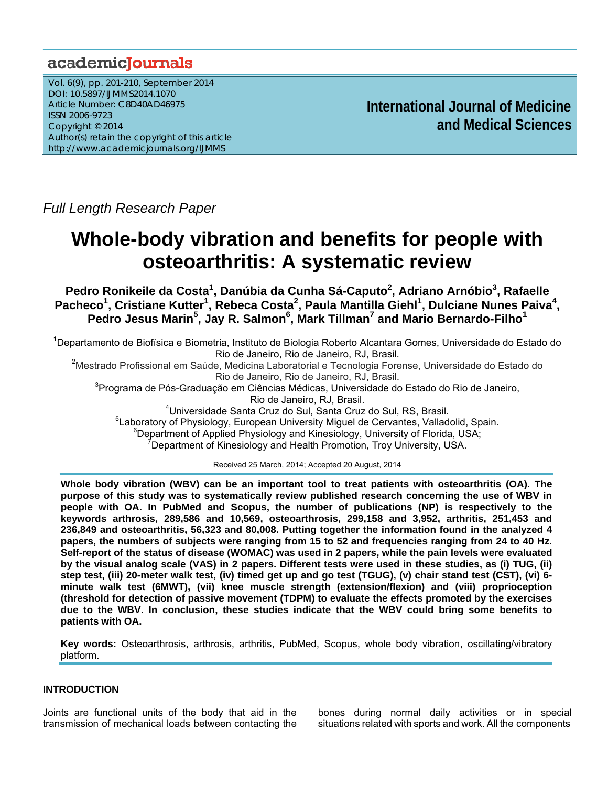# academicJournals

Vol. 6(9), pp. 201-210, September 2014 DOI: 10.5897/IJMMS2014.1070 Article Number: C8D40AD46975 ISSN 2006-9723 Copyright © 2014 Author(s) retain the copyright of this article http://www.academicjournals.org/IJMMS

 **International Journal of Medicine and Medical Sciences** 

*Full Length Research Paper*

# **Whole-body vibration and benefits for people with osteoarthritis: A systematic review**

Pedro Ronikeile da Costa<sup>1</sup>, Danúbia da Cunha Sá-Caputo<sup>2</sup>, Adriano Arnóbio<sup>3</sup>, Rafaelle Pacheco<sup>1</sup>, Cristiane Kutter<sup>1</sup>, Rebeca Costa<sup>2</sup>, Paula Mantilla Giehl<sup>1</sup>, Dulciane Nunes Paiva<sup>4</sup>, Pedro Jesus Marin<sup>5</sup>, Jay R. Salmon<sup>6</sup>, Mark Tillman<sup>7</sup> and Mario Bernardo-Filho<sup>1</sup>

<sup>1</sup>Departamento de Biofísica e Biometria, Instituto de Biologia Roberto Alcantara Gomes, Universidade do Estado do Rio de Janeiro, Rio de Janeiro, RJ, Brasil.

<sup>2</sup>Mestrado Profissional em Saúde, Medicina Laboratorial e Tecnologia Forense, Universidade do Estado do

Rio de Janeiro, Rio de Janeiro, Rio de Janeiro, RJ, Brasil.<br><sup>3</sup>Programa de Pós-Graduação em Ciências Médicas, Universidade do Estado do Rio de Janeiro, Rio de Janeiro, RJ, Brasil. 4 Universidade Santa Cruz do Sul, Santa Cruz do Sul, RS, Brasil.

<sup>5</sup> Laboratory of Physiology, European University Miguel de Cervantes, Valladolid, Spain.<br><sup>6</sup> Department of Applied Physiology and Kinosiology, University of Elerida, USA:

 $6$ Department of Applied Physiology and Kinesiology, University of Florida, USA;

Department of Kinesiology and Health Promotion, Troy University, USA.

Received 25 March, 2014; Accepted 20 August, 2014

**Whole body vibration (WBV) can be an important tool to treat patients with osteoarthritis (OA). The purpose of this study was to systematically review published research concerning the use of WBV in people with OA. In PubMed and Scopus, the number of publications (NP) is respectively to the keywords arthrosis, 289,586 and 10,569, osteoarthrosis, 299,158 and 3,952, arthritis, 251,453 and 236,849 and osteoarthritis, 56,323 and 80,008. Putting together the information found in the analyzed 4 papers, the numbers of subjects were ranging from 15 to 52 and frequencies ranging from 24 to 40 Hz. Self-report of the status of disease (WOMAC) was used in 2 papers, while the pain levels were evaluated by the visual analog scale (VAS) in 2 papers. Different tests were used in these studies, as (i) TUG, (ii) step test, (iii) 20-meter walk test, (iv) timed get up and go test (TGUG), (v) chair stand test (CST), (vi) 6 minute walk test (6MWT), (vii) knee muscle strength (extension/flexion) and (viii) proprioception (threshold for detection of passive movement (TDPM) to evaluate the effects promoted by the exercises due to the WBV. In conclusion, these studies indicate that the WBV could bring some benefits to patients with OA.** 

**Key words:** Osteoarthrosis, arthrosis, arthritis, PubMed, Scopus, whole body vibration, oscillating/vibratory platform.

# **INTRODUCTION**

Joints are functional units of the body that aid in the transmission of mechanical loads between contacting the

bones during normal daily activities or in special situations related with sports and work. All the components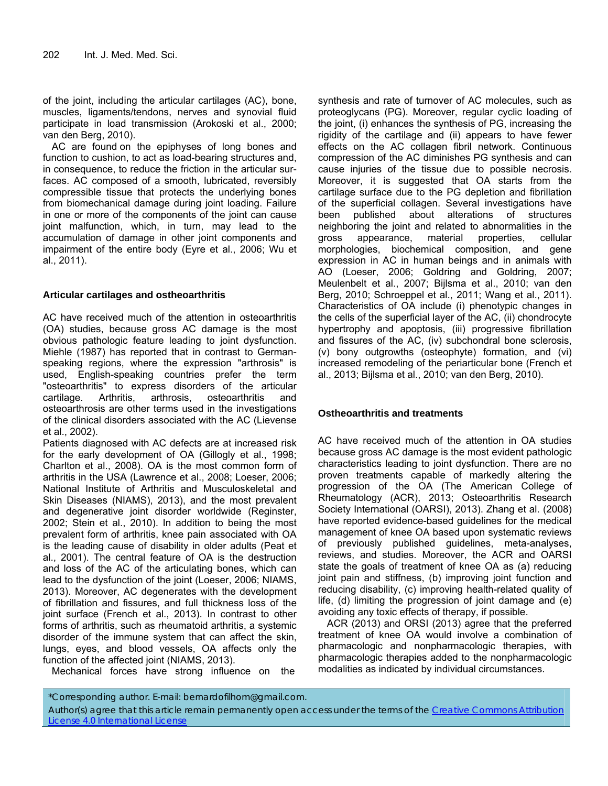of the joint, including the articular cartilages (AC), bone, muscles, ligaments/tendons, nerves and synovial fluid participate in load transmission (Arokoski et al., 2000; van den Berg, 2010).

AC are found on the epiphyses of long bones and function to cushion, to act as load-bearing structures and, in consequence, to reduce the friction in the articular surfaces. AC composed of a smooth, lubricated, reversibly compressible tissue that protects the underlying bones from biomechanical damage during joint loading. Failure in one or more of the components of the joint can cause joint malfunction, which, in turn, may lead to the accumulation of damage in other joint components and impairment of the entire body (Eyre et al., 2006; Wu et al., 2011).

# **Articular cartilages and ostheoarthritis**

AC have received much of the attention in osteoarthritis (OA) studies, because gross AC damage is the most obvious pathologic feature leading to joint dysfunction. Miehle (1987) has reported that in contrast to Germanspeaking regions, where the expression "arthrosis" is used, English-speaking countries prefer the term "osteoarthritis" to express disorders of the articular cartilage. Arthritis, arthrosis, osteoarthritis and osteoarthrosis are other terms used in the investigations of the clinical disorders associated with the AC (Lievense et al., 2002).

Patients diagnosed with AC defects are at increased risk for the early development of OA (Gillogly et al., 1998; Charlton et al., 2008). OA is the most common form of arthritis in the USA (Lawrence et al., 2008; Loeser, 2006; National Institute of Arthritis and Musculoskeletal and Skin Diseases (NIAMS), 2013), and the most prevalent and degenerative joint disorder worldwide (Reginster, 2002; Stein et al., 2010). In addition to being the most prevalent form of arthritis, knee pain associated with OA is the leading cause of disability in older adults (Peat et al., 2001). The central feature of OA is the destruction and loss of the AC of the articulating bones, which can lead to the dysfunction of the joint (Loeser, 2006; NIAMS, 2013). Moreover, AC degenerates with the development of fibrillation and fissures, and full thickness loss of the joint surface (French et al., 2013). In contrast to other forms of arthritis, such as rheumatoid arthritis, a systemic disorder of the immune system that can affect the skin, lungs, eyes, and blood vessels, OA affects only the function of the affected joint (NIAMS, 2013).

Mechanical forces have strong influence on the

synthesis and rate of turnover of AC molecules, such as proteoglycans (PG). Moreover, regular cyclic loading of the joint, (i) enhances the synthesis of PG, increasing the rigidity of the cartilage and (ii) appears to have fewer effects on the AC collagen fibril network. Continuous compression of the AC diminishes PG synthesis and can cause injuries of the tissue due to possible necrosis. Moreover, it is suggested that OA starts from the cartilage surface due to the PG depletion and fibrillation of the superficial collagen. Several investigations have been published about alterations of structures neighboring the joint and related to abnormalities in the gross appearance, material properties, cellular morphologies, biochemical composition, and gene expression in AC in human beings and in animals with AO (Loeser, 2006; Goldring and Goldring, 2007; Meulenbelt et al., 2007; Bijlsma et al., 2010; van den Berg, 2010; Schroeppel et al., 2011; Wang et al., 2011). Characteristics of OA include (i) phenotypic changes in the cells of the superficial layer of the AC, (ii) chondrocyte hypertrophy and apoptosis, (iii) progressive fibrillation and fissures of the AC, (iv) subchondral bone sclerosis, (v) bony outgrowths (osteophyte) formation, and (vi) increased remodeling of the periarticular bone (French et al., 2013; Bijlsma et al., 2010; van den Berg, 2010).

# **Ostheoarthritis and treatments**

AC have received much of the attention in OA studies because gross AC damage is the most evident pathologic characteristics leading to joint dysfunction. There are no proven treatments capable of markedly altering the progression of the OA (The American College of Rheumatology (ACR), 2013; Osteoarthritis Research Society International (OARSI), 2013). Zhang et al. (2008) have reported evidence-based guidelines for the medical management of knee OA based upon systematic reviews of previously published guidelines, meta-analyses, reviews, and studies. Moreover, the ACR and OARSI state the goals of treatment of knee OA as (a) reducing joint pain and stiffness, (b) improving joint function and reducing disability, (c) improving health-related quality of life, (d) limiting the progression of joint damage and (e) avoiding any toxic effects of therapy, if possible.

ACR (2013) and ORSI (2013) agree that the preferred treatment of knee OA would involve a combination of pharmacologic and nonpharmacologic therapies, with pharmacologic therapies added to the nonpharmacologic modalities as indicated by individual circumstances.

\*Corresponding author. E-mail: bernardofilhom@gmail.com.

Author(s) agree that this article remain permanently open access under the terms of the Creative Commons Attribution License 4.0 International License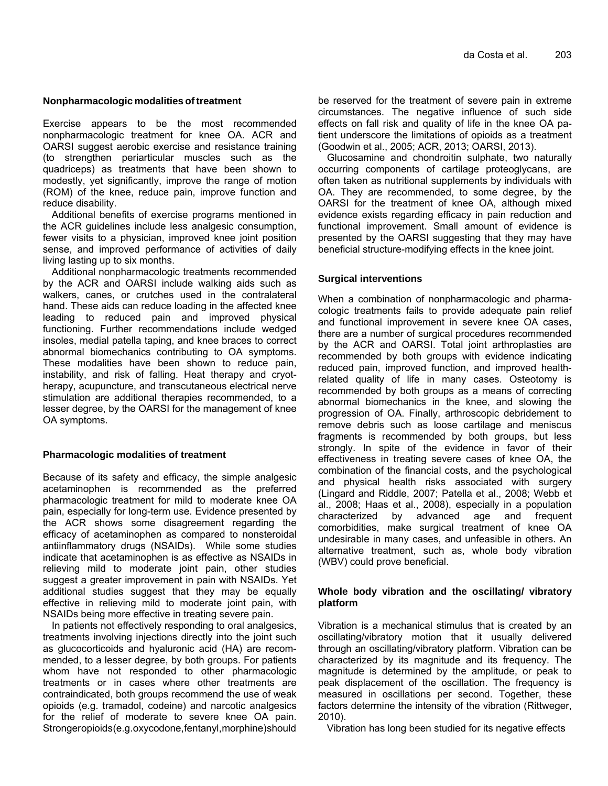#### **Nonpharmacologic modalities of treatment**

Exercise appears to be the most recommended nonpharmacologic treatment for knee OA. ACR and OARSI suggest aerobic exercise and resistance training (to strengthen periarticular muscles such as the quadriceps) as treatments that have been shown to modestly, yet significantly, improve the range of motion (ROM) of the knee, reduce pain, improve function and reduce disability.

Additional benefits of exercise programs mentioned in the ACR guidelines include less analgesic consumption, fewer visits to a physician, improved knee joint position sense, and improved performance of activities of daily living lasting up to six months.

Additional nonpharmacologic treatments recommended by the ACR and OARSI include walking aids such as walkers, canes, or crutches used in the contralateral hand. These aids can reduce loading in the affected knee leading to reduced pain and improved physical functioning. Further recommendations include wedged insoles, medial patella taping, and knee braces to correct abnormal biomechanics contributing to OA symptoms. These modalities have been shown to reduce pain, instability, and risk of falling. Heat therapy and cryotherapy, acupuncture, and transcutaneous electrical nerve stimulation are additional therapies recommended, to a lesser degree, by the OARSI for the management of knee OA symptoms.

#### **Pharmacologic modalities of treatment**

Because of its safety and efficacy, the simple analgesic acetaminophen is recommended as the preferred pharmacologic treatment for mild to moderate knee OA pain, especially for long-term use. Evidence presented by the ACR shows some disagreement regarding the efficacy of acetaminophen as compared to nonsteroidal antiinflammatory drugs (NSAIDs). While some studies indicate that acetaminophen is as effective as NSAIDs in relieving mild to moderate joint pain, other studies suggest a greater improvement in pain with NSAIDs. Yet additional studies suggest that they may be equally effective in relieving mild to moderate joint pain, with NSAIDs being more effective in treating severe pain.

In patients not effectively responding to oral analgesics, treatments involving injections directly into the joint such as glucocorticoids and hyaluronic acid (HA) are recommended, to a lesser degree, by both groups. For patients whom have not responded to other pharmacologic treatments or in cases where other treatments are contraindicated, both groups recommend the use of weak opioids (e.g. tramadol, codeine) and narcotic analgesics for the relief of moderate to severe knee OA pain. Strongeropioids(e.g.oxycodone,fentanyl,morphine)should be reserved for the treatment of severe pain in extreme circumstances. The negative influence of such side effects on fall risk and quality of life in the knee OA patient underscore the limitations of opioids as a treatment (Goodwin et al., 2005; ACR, 2013; OARSI, 2013).

Glucosamine and chondroitin sulphate, two naturally occurring components of cartilage proteoglycans, are often taken as nutritional supplements by individuals with OA. They are recommended, to some degree, by the OARSI for the treatment of knee OA, although mixed evidence exists regarding efficacy in pain reduction and functional improvement. Small amount of evidence is presented by the OARSI suggesting that they may have beneficial structure-modifying effects in the knee joint.

# **Surgical interventions**

When a combination of nonpharmacologic and pharmacologic treatments fails to provide adequate pain relief and functional improvement in severe knee OA cases, there are a number of surgical procedures recommended by the ACR and OARSI. Total joint arthroplasties are recommended by both groups with evidence indicating reduced pain, improved function, and improved healthrelated quality of life in many cases. Osteotomy is recommended by both groups as a means of correcting abnormal biomechanics in the knee, and slowing the progression of OA. Finally, arthroscopic debridement to remove debris such as loose cartilage and meniscus fragments is recommended by both groups, but less strongly. In spite of the evidence in favor of their effectiveness in treating severe cases of knee OA, the combination of the financial costs, and the psychological and physical health risks associated with surgery (Lingard and Riddle, 2007; Patella et al., 2008; Webb et al., 2008; Haas et al., 2008), especially in a population characterized by advanced age and frequent comorbidities, make surgical treatment of knee OA undesirable in many cases, and unfeasible in others. An alternative treatment, such as, whole body vibration (WBV) could prove beneficial.

# **Whole body vibration and the oscillating/ vibratory platform**

Vibration is a mechanical stimulus that is created by an oscillating/vibratory motion that it usually delivered through an oscillating/vibratory platform. Vibration can be characterized by its magnitude and its frequency. The magnitude is determined by the amplitude, or peak to peak displacement of the oscillation. The frequency is measured in oscillations per second. Together, these factors determine the intensity of the vibration (Rittweger, 2010).

Vibration has long been studied for its negative effects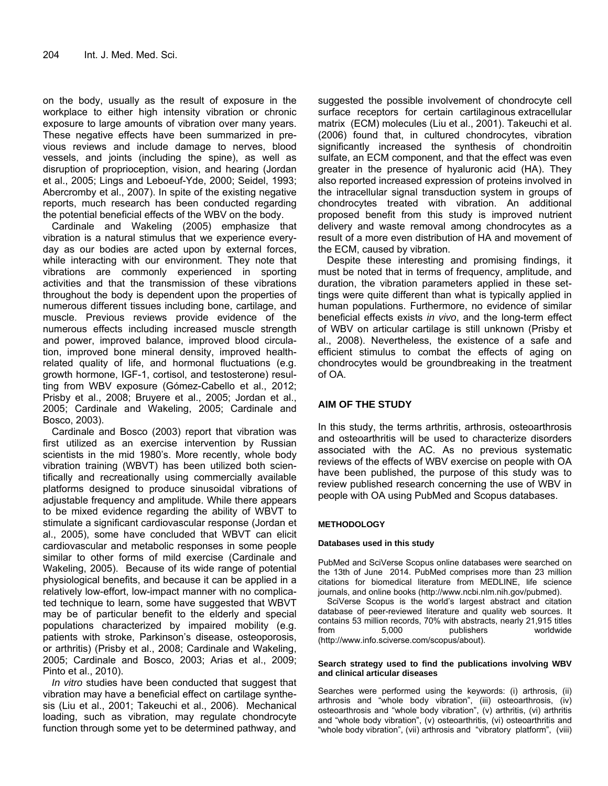on the body, usually as the result of exposure in the workplace to either high intensity vibration or chronic exposure to large amounts of vibration over many years. These negative effects have been summarized in previous reviews and include damage to nerves, blood vessels, and joints (including the spine), as well as disruption of proprioception, vision, and hearing (Jordan et al., 2005; Lings and Leboeuf-Yde, 2000; Seidel, 1993; Abercromby et al., 2007). In spite of the existing negative reports, much research has been conducted regarding the potential beneficial effects of the WBV on the body.

Cardinale and Wakeling (2005) emphasize that vibration is a natural stimulus that we experience everyday as our bodies are acted upon by external forces, while interacting with our environment. They note that vibrations are commonly experienced in sporting activities and that the transmission of these vibrations throughout the body is dependent upon the properties of numerous different tissues including bone, cartilage, and muscle. Previous reviews provide evidence of the numerous effects including increased muscle strength and power, improved balance, improved blood circulation, improved bone mineral density, improved healthrelated quality of life, and hormonal fluctuations (e.g. growth hormone, IGF-1, cortisol, and testosterone) resulting from WBV exposure (Gómez-Cabello et al., 2012; Prisby et al., 2008; Bruyere et al., 2005; Jordan et al., 2005; Cardinale and Wakeling, 2005; Cardinale and Bosco, 2003).

Cardinale and Bosco (2003) report that vibration was first utilized as an exercise intervention by Russian scientists in the mid 1980's. More recently, whole body vibration training (WBVT) has been utilized both scientifically and recreationally using commercially available platforms designed to produce sinusoidal vibrations of adjustable frequency and amplitude. While there appears to be mixed evidence regarding the ability of WBVT to stimulate a significant cardiovascular response (Jordan et al., 2005), some have concluded that WBVT can elicit cardiovascular and metabolic responses in some people similar to other forms of mild exercise (Cardinale and Wakeling, 2005). Because of its wide range of potential physiological benefits, and because it can be applied in a relatively low-effort, low-impact manner with no complicated technique to learn, some have suggested that WBVT may be of particular benefit to the elderly and special populations characterized by impaired mobility (e.g. patients with stroke, Parkinson's disease, osteoporosis, or arthritis) (Prisby et al., 2008; Cardinale and Wakeling, 2005; Cardinale and Bosco, 2003; Arias et al., 2009; Pinto et al., 2010).

*In vitro* studies have been conducted that suggest that vibration may have a beneficial effect on cartilage synthesis (Liu et al., 2001; Takeuchi et al., 2006). Mechanical loading, such as vibration, may regulate chondrocyte function through some yet to be determined pathway, and

suggested the possible involvement of chondrocyte cell surface receptors for certain cartilaginous extracellular matrix (ECM) molecules (Liu et al., 2001). Takeuchi et al. (2006) found that, in cultured chondrocytes, vibration significantly increased the synthesis of chondroitin sulfate, an ECM component, and that the effect was even greater in the presence of hyaluronic acid (HA). They also reported increased expression of proteins involved in the intracellular signal transduction system in groups of chondrocytes treated with vibration. An additional proposed benefit from this study is improved nutrient delivery and waste removal among chondrocytes as a result of a more even distribution of HA and movement of the ECM, caused by vibration.

Despite these interesting and promising findings, it must be noted that in terms of frequency, amplitude, and duration, the vibration parameters applied in these settings were quite different than what is typically applied in human populations. Furthermore, no evidence of similar beneficial effects exists *in vivo*, and the long-term effect of WBV on articular cartilage is still unknown (Prisby et al., 2008). Nevertheless, the existence of a safe and efficient stimulus to combat the effects of aging on chondrocytes would be groundbreaking in the treatment of OA.

# **AIM OF THE STUDY**

In this study, the terms arthritis, arthrosis, osteoarthrosis and osteoarthritis will be used to characterize disorders associated with the AC. As no previous systematic reviews of the effects of WBV exercise on people with OA have been published, the purpose of this study was to review published research concerning the use of WBV in people with OA using PubMed and Scopus databases.

#### **METHODOLOGY**

#### **Databases used in this study**

PubMed and SciVerse Scopus online databases were searched on the 13th of June 2014. PubMed comprises more than 23 million citations for biomedical literature from MEDLINE, life science journals, and online books (http://www.ncbi.nlm.nih.gov/pubmed).

SciVerse Scopus is the world's largest abstract and citation database of peer-reviewed literature and quality web sources. It contains 53 million records, 70% with abstracts, nearly 21,915 titles from 5,000 publishers worldwide (http://www.info.sciverse.com/scopus/about).

#### **Search strategy used to find the publications involving WBV and clinical articular diseases**

Searches were performed using the keywords: (i) arthrosis, (ii) arthrosis and "whole body vibration", (iii) osteoarthrosis, (iv) osteoarthrosis and "whole body vibration", (v) arthritis, (vi) arthritis and "whole body vibration", (v) osteoarthritis, (vi) osteoarthritis and "whole body vibration", (vii) arthrosis and "vibratory platform", (viii)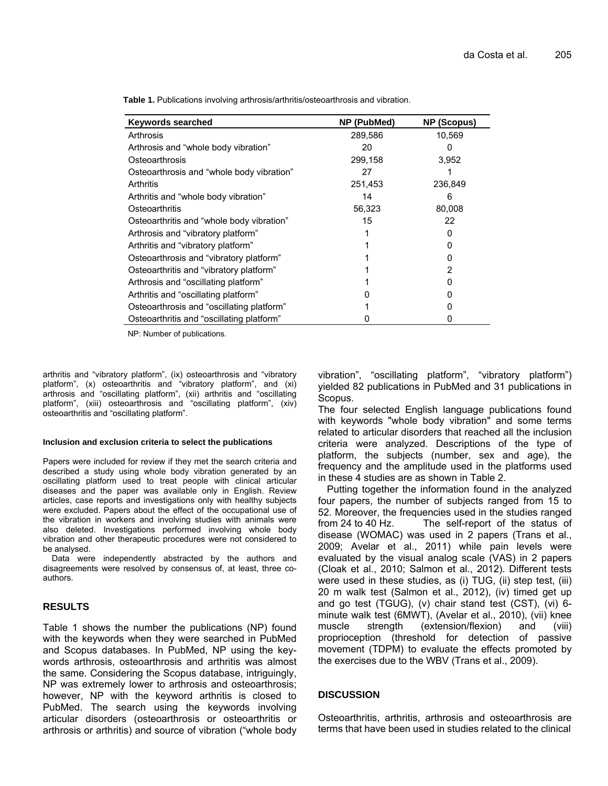| <b>Keywords searched</b>                  | NP (PubMed) | <b>NP (Scopus)</b> |
|-------------------------------------------|-------------|--------------------|
| Arthrosis                                 | 289,586     | 10,569             |
| Arthrosis and "whole body vibration"      | 20          |                    |
| Osteoarthrosis                            | 299,158     | 3,952              |
| Osteoarthrosis and "whole body vibration" | 27          |                    |
| Arthritis                                 | 251,453     | 236,849            |
| Arthritis and "whole body vibration"      | 14          | 6                  |
| Osteoarthritis                            | 56,323      | 80,008             |
| Osteoarthritis and "whole body vibration" | 15          | 22                 |
| Arthrosis and "vibratory platform"        |             | O                  |
| Arthritis and "vibratory platform"        |             | O                  |
| Osteoarthrosis and "vibratory platform"   |             | 0                  |
| Osteoarthritis and "vibratory platform"   |             | 2                  |
| Arthrosis and "oscillating platform"      |             |                    |
| Arthritis and "oscillating platform"      |             |                    |
| Osteoarthrosis and "oscillating platform" |             |                    |
| Osteoarthritis and "oscillating platform" |             | 0                  |

**Table 1.** Publications involving arthrosis/arthritis/osteoarthrosis and vibration.

NP: Number of publications.

arthritis and "vibratory platform", (ix) osteoarthrosis and "vibratory platform", (x) osteoarthritis and "vibratory platform", and (xi) arthrosis and "oscillating platform", (xii) arthritis and "oscillating platform", (xiii) osteoarthrosis and "oscillating platform", (xiv) osteoarthritis and "oscillating platform".

#### **Inclusion and exclusion criteria to select the publications**

Papers were included for review if they met the search criteria and described a study using whole body vibration generated by an oscillating platform used to treat people with clinical articular diseases and the paper was available only in English. Review articles, case reports and investigations only with healthy subjects were excluded. Papers about the effect of the occupational use of the vibration in workers and involving studies with animals were also deleted. Investigations performed involving whole body vibration and other therapeutic procedures were not considered to be analysed.

Data were independently abstracted by the authors and disagreements were resolved by consensus of, at least, three coauthors.

# **RESULTS**

Table 1 shows the number the publications (NP) found with the keywords when they were searched in PubMed and Scopus databases. In PubMed, NP using the keywords arthrosis, osteoarthrosis and arthritis was almost the same. Considering the Scopus database, intriguingly, NP was extremely lower to arthrosis and osteoarthrosis; however, NP with the keyword arthritis is closed to PubMed. The search using the keywords involving articular disorders (osteoarthrosis or osteoarthritis or arthrosis or arthritis) and source of vibration ("whole body

vibration", "oscillating platform", "vibratory platform") yielded 82 publications in PubMed and 31 publications in Scopus.

The four selected English language publications found with keywords "whole body vibration" and some terms related to articular disorders that reached all the inclusion criteria were analyzed. Descriptions of the type of platform, the subjects (number, sex and age), the frequency and the amplitude used in the platforms used in these 4 studies are as shown in Table 2.

Putting together the information found in the analyzed four papers, the number of subjects ranged from 15 to 52. Moreover, the frequencies used in the studies ranged from 24 to 40 Hz. The self-report of the status of disease (WOMAC) was used in 2 papers (Trans et al., 2009; Avelar et al., 2011) while pain levels were evaluated by the visual analog scale (VAS) in 2 papers (Cloak et al., 2010; Salmon et al., 2012). Different tests were used in these studies, as (i) TUG, (ii) step test, (iii) 20 m walk test (Salmon et al., 2012), (iv) timed get up and go test (TGUG), (v) chair stand test (CST), (vi) 6 minute walk test (6MWT), (Avelar et al., 2010), (vii) knee muscle strength (extension/flexion) and (viii) proprioception (threshold for detection of passive movement (TDPM) to evaluate the effects promoted by the exercises due to the WBV (Trans et al., 2009).

#### **DISCUSSION**

Osteoarthritis, arthritis, arthrosis and osteoarthrosis are terms that have been used in studies related to the clinical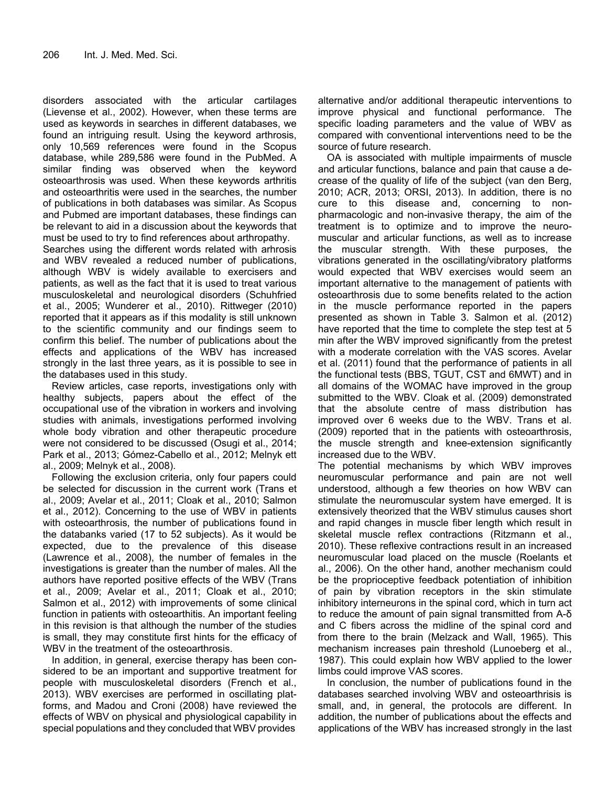disorders associated with the articular cartilages (Lievense et al., 2002). However, when these terms are used as keywords in searches in different databases, we found an intriguing result. Using the keyword arthrosis, only 10,569 references were found in the Scopus database, while 289,586 were found in the PubMed. A similar finding was observed when the keyword osteoarthrosis was used. When these keywords arthritis and osteoarthritis were used in the searches, the number of publications in both databases was similar. As Scopus and Pubmed are important databases, these findings can be relevant to aid in a discussion about the keywords that must be used to try to find references about arthropathy.

Searches using the different words related with arhrosis and WBV revealed a reduced number of publications, although WBV is widely available to exercisers and patients, as well as the fact that it is used to treat various musculoskeletal and neurological disorders (Schuhfried et al., 2005; Wunderer et al., 2010). Rittweger (2010) reported that it appears as if this modality is still unknown to the scientific community and our findings seem to confirm this belief. The number of publications about the effects and applications of the WBV has increased strongly in the last three years, as it is possible to see in the databases used in this study.

Review articles, case reports, investigations only with healthy subjects, papers about the effect of the occupational use of the vibration in workers and involving studies with animals, investigations performed involving whole body vibration and other therapeutic procedure were not considered to be discussed (Osugi et al., 2014; Park et al., 2013; Gómez-Cabello et al., 2012; Melnyk ett al., 2009; Melnyk et al., 2008).

Following the exclusion criteria, only four papers could be selected for discussion in the current work (Trans et al., 2009; Avelar et al., 2011; Cloak et al., 2010; Salmon et al., 2012). Concerning to the use of WBV in patients with osteoarthrosis, the number of publications found in the databanks varied (17 to 52 subjects). As it would be expected, due to the prevalence of this disease (Lawrence et al., 2008), the number of females in the investigations is greater than the number of males. All the authors have reported positive effects of the WBV (Trans et al., 2009; Avelar et al., 2011; Cloak et al., 2010; Salmon et al., 2012) with improvements of some clinical function in patients with osteoarthitis. An important feeling in this revision is that although the number of the studies is small, they may constitute first hints for the efficacy of WBV in the treatment of the osteoarthrosis.

In addition, in general, exercise therapy has been considered to be an important and supportive treatment for people with musculoskeletal disorders (French et al., 2013). WBV exercises are performed in oscillating platforms, and Madou and Croni (2008) have reviewed the effects of WBV on physical and physiological capability in special populations and they concluded that WBV provides

alternative and/or additional therapeutic interventions to improve physical and functional performance. The specific loading parameters and the value of WBV as compared with conventional interventions need to be the source of future research.

OA is associated with multiple impairments of muscle and articular functions, balance and pain that cause a decrease of the quality of life of the subject (van den Berg, 2010; ACR, 2013; ORSI, 2013). In addition, there is no cure to this disease and, concerning to nonpharmacologic and non-invasive therapy, the aim of the treatment is to optimize and to improve the neuromuscular and articular functions, as well as to increase the muscular strength. With these purposes, the vibrations generated in the oscillating/vibratory platforms would expected that WBV exercises would seem an important alternative to the management of patients with osteoarthrosis due to some benefits related to the action in the muscle performance reported in the papers presented as shown in Table 3. Salmon et al. (2012) have reported that the time to complete the step test at 5 min after the WBV improved significantly from the pretest with a moderate correlation with the VAS scores. Avelar et al. (2011) found that the performance of patients in all the functional tests (BBS, TGUT, CST and 6MWT) and in all domains of the WOMAC have improved in the group submitted to the WBV. Cloak et al. (2009) demonstrated that the absolute centre of mass distribution has improved over 6 weeks due to the WBV. Trans et al. (2009) reported that in the patients with osteoarthrosis, the muscle strength and knee-extension significantly increased due to the WBV.

The potential mechanisms by which WBV improves neuromuscular performance and pain are not well understood, although a few theories on how WBV can stimulate the neuromuscular system have emerged. It is extensively theorized that the WBV stimulus causes short and rapid changes in muscle fiber length which result in skeletal muscle reflex contractions (Ritzmann et al., 2010). These reflexive contractions result in an increased neuromuscular load placed on the muscle (Roelants et al., 2006). On the other hand, another mechanism could be the proprioceptive feedback potentiation of inhibition of pain by vibration receptors in the skin stimulate inhibitory interneurons in the spinal cord, which in turn act to reduce the amount of pain signal transmitted from A-δ and C fibers across the midline of the spinal cord and from there to the brain (Melzack and Wall, 1965). This mechanism increases pain threshold (Lunoeberg et al., 1987). This could explain how WBV applied to the lower limbs could improve VAS scores.

In conclusion, the number of publications found in the databases searched involving WBV and osteoarthrisis is small, and, in general, the protocols are different. In addition, the number of publications about the effects and applications of the WBV has increased strongly in the last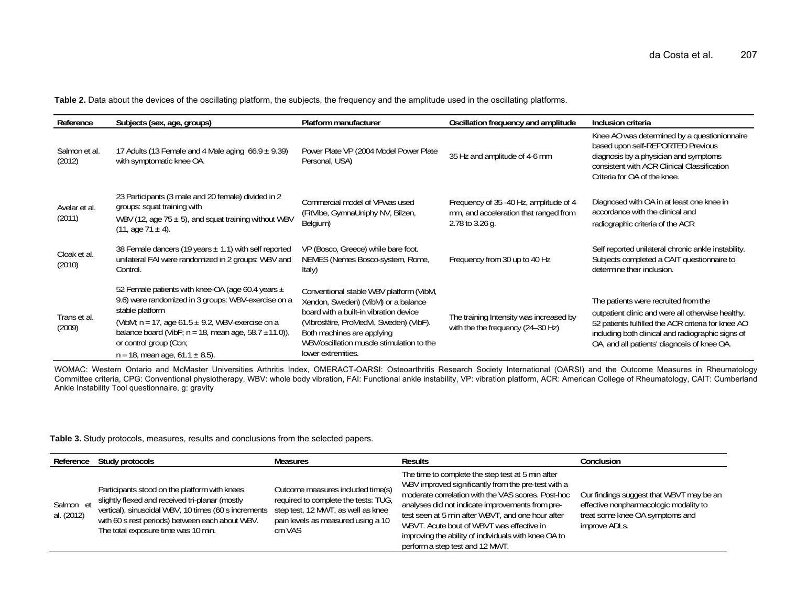**Table 2.** Data about the devices of the oscillating platform, the subjects, the frequency and the amplitude used in the oscillating platforms.

| Reference               | Subjects (sex, age, groups)                                                                                                                                                                                                                                                                                                    | <b>Platform manufacturer</b>                                                                                                                                                                                                                                        | Oscillation frequency and amplitude                                                                | Inclusion criteria                                                                                                                                                                                                                                  |
|-------------------------|--------------------------------------------------------------------------------------------------------------------------------------------------------------------------------------------------------------------------------------------------------------------------------------------------------------------------------|---------------------------------------------------------------------------------------------------------------------------------------------------------------------------------------------------------------------------------------------------------------------|----------------------------------------------------------------------------------------------------|-----------------------------------------------------------------------------------------------------------------------------------------------------------------------------------------------------------------------------------------------------|
| Salmon et al.<br>(2012) | 17 Adults (13 Female and 4 Male aging $66.9 \pm 9.39$ )<br>with symptomatic knee OA.                                                                                                                                                                                                                                           | Power Plate VP (2004 Model Power Plate<br>Personal, USA)                                                                                                                                                                                                            | 35 Hz and amplitude of 4-6 mm                                                                      | Knee AO was determined by a questionionnaire<br>based upon self-REPORTED Previous<br>diagnosis by a physician and symptoms<br>consistent with ACR Clinical Classification<br>Criteria for OA of the knee.                                           |
| Avelar et al.<br>(2011) | 23 Participants (3 male and 20 female) divided in 2<br>groups: squat training with<br>WBV (12, age 75 $\pm$ 5), and squat training without WBV<br>$(11, \text{age } 71 \pm 4).$                                                                                                                                                | Commercial model of VPwas used<br>(FitVibe, GymnaUniphy NV, Bilzen,<br>Belgium)                                                                                                                                                                                     | Frequency of 35 -40 Hz, amplitude of 4<br>mm, and acceleration that ranged from<br>2.78 to 3.26 g. | Diagnosed with OA in at least one knee in<br>accordance with the clinical and<br>radiographic criteria of the ACR                                                                                                                                   |
| Cloak et al.<br>(2010)  | 38 Female dancers (19 years $\pm$ 1.1) with self reported<br>unilateral FAI were randomized in 2 groups: WBV and<br>Control.                                                                                                                                                                                                   | VP (Bosco, Greece) while bare foot.<br>NEMES (Nemes Bosco-system, Rome,<br>Italy)                                                                                                                                                                                   | Frequency from 30 up to 40 Hz                                                                      | Self reported unilateral chronic ankle instability.<br>Subjects completed a CAIT questionnaire to<br>determine their inclusion.                                                                                                                     |
| Trans et al.<br>(2009)  | 52 Female patients with knee-OA (age 60.4 years $\pm$<br>9.6) were randomized in 3 groups: WBV-exercise on a<br>stable platform<br>(VibM; $n = 17$ , age 61.5 $\pm$ 9.2, WBV-exercise on a<br>balance board (VibF; $n = 18$ , mean age, $58.7 \pm 11.0$ )),<br>or control group (Con;<br>$n = 18$ , mean age, 61.1 $\pm$ 8.5). | Conventional stable WBV platform (VibM,<br>Xendon, Sweden) (VibM) or a balance<br>board with a built-in vibration device<br>(Vibrosfäre, ProMedVi, Sweden) (VibF).<br>Both machines are applying<br>WBV/oscillation muscle stimulation to the<br>lower extremities. | The training Intensity was increased by<br>with the the frequency (24-30 Hz)                       | The patients were recruited from the<br>outpatient clinic and were all otherwise healthy.<br>52 patients fulfilled the ACR criteria for knee AO<br>including both clinical and radiographic signs of<br>OA, and all patients' diagnosis of knee OA. |

WOMAC: Western Ontario and McMaster Universities Arthritis Index, OMERACT-OARSI: Osteoarthritis Research Society International (OARSI) and the Outcome Measures in Rheumatology Committee criteria, CPG: Conventional physiotherapy, WBV: whole body vibration, FAI: Functional ankle instability, VP: vibration platform, ACR: American College of Rheumatology, CAIT: Cumberland Ankle Instability Tool questionnaire, g: gravity

**Table 3.** Study protocols, measures, results and conclusions from the selected papers.

| Reference               | Study protocols                                                                                                                                                                                                                                    | <b>Measures</b>                                                                                                                                                 | <b>Results</b>                                                                                                                                                                                                                                                                                                                                                                                                  | Conclusion                                                                                                                             |
|-------------------------|----------------------------------------------------------------------------------------------------------------------------------------------------------------------------------------------------------------------------------------------------|-----------------------------------------------------------------------------------------------------------------------------------------------------------------|-----------------------------------------------------------------------------------------------------------------------------------------------------------------------------------------------------------------------------------------------------------------------------------------------------------------------------------------------------------------------------------------------------------------|----------------------------------------------------------------------------------------------------------------------------------------|
| Salmon et<br>al. (2012) | Participants stood on the platform with knees<br>slightly flexed and received tri-planar (mostly<br>vertical), sinusoidal WBV, 10 times (60 s increments<br>with 60 s rest periods) between each about WBV.<br>The total exposure time was 10 min. | Outcome measures included time(s)<br>required to complete the tests: TUG,<br>step test, 12 MWT, as well as knee<br>pain levels as measured using a 10<br>cm VAS | The time to complete the step test at 5 min after<br>WBV improved significantly from the pre-test with a<br>moderate correlation with the VAS scores. Post-hoc<br>analyses did not indicate improvements from pre-<br>test seen at 5 min after WBVT, and one hour after<br>WBVT. Acute bout of WBVT was effective in<br>improving the ability of individuals with knee OA to<br>perform a step test and 12 MWT. | Our findings suggest that WBVT may be an<br>effective nonpharmacologic modality to<br>treat some knee OA symptoms and<br>improve ADLs. |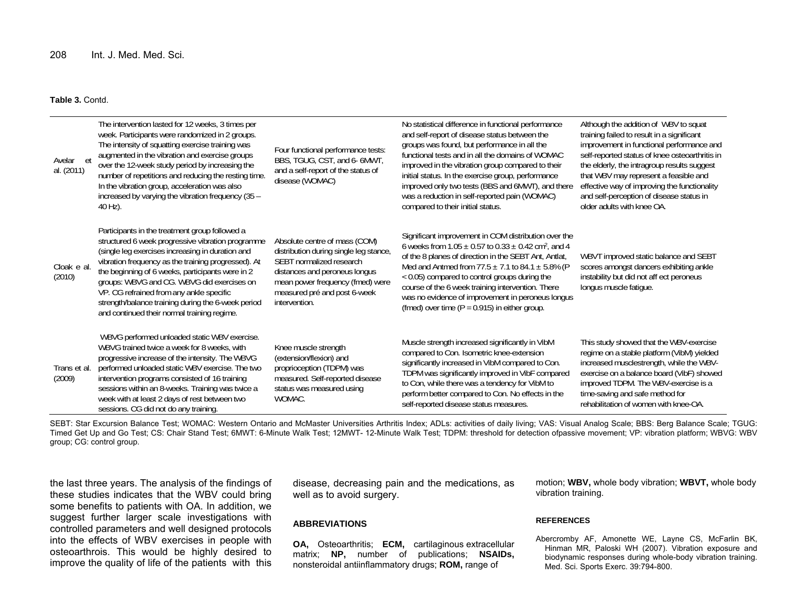#### **Table 3.** Contd.

| Avelar et<br>al. (2011) | The intervention lasted for 12 weeks, 3 times per<br>week. Participants were randomized in 2 groups.<br>The intensity of squatting exercise training was<br>augmented in the vibration and exercise groups<br>over the 12-week study period by increasing the<br>number of repetitions and reducing the resting time.<br>In the vibration group, acceleration was also<br>increased by varying the vibration frequency (35 -<br>40 Hz).                           | Four functional performance tests:<br>BBS, TGUG, CST, and 6-6MWT,<br>and a self-report of the status of<br>disease (WOMAC)                                                                                                | No statistical difference in functional performance<br>and self-report of disease status between the<br>groups was found, but performance in all the<br>functional tests and in all the domains of WOMAC<br>improved in the vibration group compared to their<br>initial status. In the exercise group, performance<br>improved only two tests (BBS and 6MWT), and there<br>was a reduction in self-reported pain (WOMAC)<br>compared to their initial status.       | Although the addition of WBV to squat<br>training failed to result in a significant<br>improvement in functional performance and<br>self-reported status of knee osteoarthritis in<br>the elderly, the intragroup results suggest<br>that WBV may represent a feasible and<br>effective way of improving the functionality<br>and self-perception of disease status in<br>older adults with knee OA. |
|-------------------------|-------------------------------------------------------------------------------------------------------------------------------------------------------------------------------------------------------------------------------------------------------------------------------------------------------------------------------------------------------------------------------------------------------------------------------------------------------------------|---------------------------------------------------------------------------------------------------------------------------------------------------------------------------------------------------------------------------|----------------------------------------------------------------------------------------------------------------------------------------------------------------------------------------------------------------------------------------------------------------------------------------------------------------------------------------------------------------------------------------------------------------------------------------------------------------------|------------------------------------------------------------------------------------------------------------------------------------------------------------------------------------------------------------------------------------------------------------------------------------------------------------------------------------------------------------------------------------------------------|
| Cloak e al.<br>(2010)   | Participants in the treatment group followed a<br>structured 6 week progressive vibration programme<br>(single leg exercises increasing in duration and<br>vibration frequency as the training progressed). At<br>the beginning of 6 weeks, participants were in 2<br>groups: WBVG and CG. WBVG did exercises on<br>VP. CG refrained from any ankle specific<br>strength/balance training during the 6-week period<br>and continued their normal training regime. | Absolute centre of mass (COM)<br>distribution during single leg stance,<br>SEBT normalized research<br>distances and peroneus longus<br>mean power frequency (fmed) were<br>measured pré and post 6-week<br>intervention. | Significant improvement in COM distribution over the<br>6 weeks from $1.05 \pm 0.57$ to $0.33 \pm 0.42$ cm <sup>2</sup> , and 4<br>of the 8 planes of direction in the SEBT Ant, Antlat,<br>Med and Antmed from $77.5 \pm 7.1$ to 84.1 $\pm$ 5.8% (P<br>< 0.05) compared to control groups during the<br>course of the 6 week training intervention. There<br>was no evidence of improvement in peroneus longus<br>(fmed) over time ( $P = 0.915$ ) in either group. | WBVT improved static balance and SEBT<br>scores amongst dancers exhibiting ankle<br>instability but did not aff ect peroneus<br>longus muscle fatigue.                                                                                                                                                                                                                                               |
| Trans et al.<br>(2009)  | WBVG performed unloaded static WBV exercise.<br>WBVG trained twice a week for 8 weeks, with<br>progressive increase of the intensity. The WBVG<br>performed unloaded static WBV exercise. The two<br>intervention programs consisted of 16 training<br>sessions within an 8-weeks. Training was twice a<br>week with at least 2 days of rest between two<br>sessions. CG did not do any training.                                                                 | Knee muscle strength<br>(extension/flexion) and<br>proprioception (TDPM) was<br>measured. Self-reported disease<br>status was measured using<br>WOMAC.                                                                    | Muscle strength increased significantly in VibM<br>compared to Con. Isometric knee-extension<br>significantly increased in VibM compared to Con.<br>TDPM was significantly improved in VibF compared<br>to Con, while there was a tendency for VibM to<br>perform better compared to Con. No effects in the<br>self-reported disease status measures.                                                                                                                | This study showed that the WBV-exercise<br>regime on a stable platform (VibM) yielded<br>increased musclestrength, while the WBV-<br>exercise on a balance board (VibF) showed<br>improved TDPM. The WBV-exercise is a<br>time-saving and safe method for<br>rehabilitation of women with knee-OA.                                                                                                   |

SEBT: Star Excursion Balance Test; WOMAC: Western Ontario and McMaster Universities Arthritis Index; ADLs: activities of daily living; VAS: Visual Analog Scale; BBS: Berg Balance Scale; TGUG: Timed Get Up and Go Test; CS: Chair Stand Test; 6MWT: 6-Minute Walk Test; 12MWT- 12-Minute Walk Test; TDPM: threshold for detection ofpassive movement; VP: vibration platform; WBVG: WBV group; CG: control group.

the last three years. The analysis of the findings of these studies indicates that the WBV could bring some benefits to patients with OA. In addition, we suggest further larger scale investigations with controlled parameters and well designed protocols into the effects of WBV exercises in people with osteoarthrois. This would be highly desired to improve the quality of life of the patients with this

disease, decreasing pain and the medications, as well as to avoid surgery.

#### **ABBREVIATIONS**

**OA,** Osteoarthritis; **ECM,** cartilaginous extracellular matrix; **NP,** number of publications; **NSAIDs,** nonsteroidal antiinflammatory drugs; **ROM,** range of

motion; **WBV,** whole body vibration; **WBVT,** whole body vibration training.

#### **REFERENCES**

Abercromby AF, Amonette WE, Layne CS, McFarlin BK, Hinman MR, Paloski WH (2007). Vibration exposure and biodynamic responses during whole-body vibration training. Med. Sci. Sports Exerc. 39:794-800.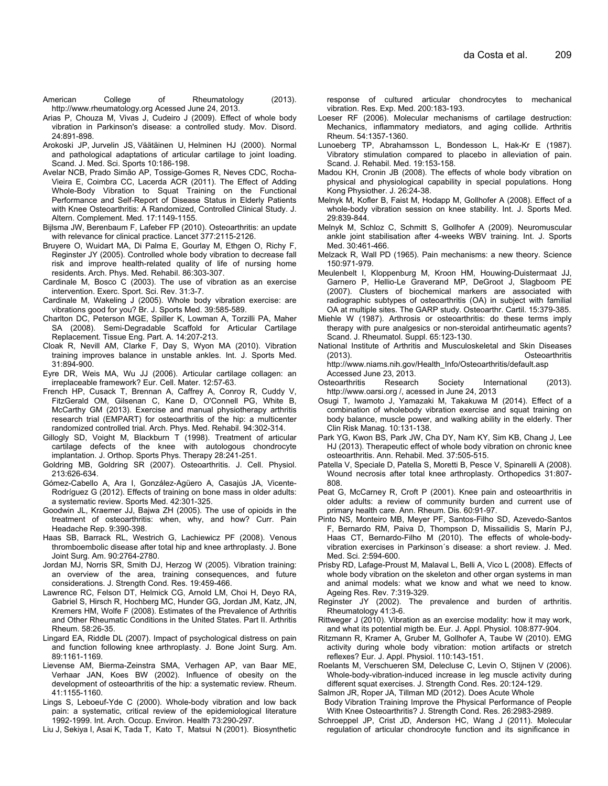American College of Rheumatology (2013). http://www.rheumatology.org Acessed June 24, 2013.

- Arias P, Chouza M, Vivas J, Cudeiro J (2009). Effect of whole body vibration in Parkinson's disease: a controlled study. Mov. Disord. 24:891-898.
- Arokoski JP, Jurvelin JS, Väätäinen U, Helminen HJ (2000). Normal and pathological adaptations of articular cartilage to joint loading. Scand. J. Med. Sci. Sports 10:186-198.
- Avelar NCB, Prado Simão AP, Tossige-Gomes R, Neves CDC, Rocha-Vieira E, Coimbra CC, Lacerda ACR (2011). The Effect of Adding Whole-Body Vibration to Squat Training on the Functional Performance and Self-Report of Disease Status in Elderly Patients with Knee Osteoarthritis: A Randomized, Controlled Clinical Study. J. Altern. Complement. Med. 17:1149-1155.
- Bijlsma JW, Berenbaum F, Lafeber FP (2010). Osteoarthritis: an update with relevance for clinical practice. Lancet 377:2115-2126.
- Bruyere O, Wuidart MA, Di Palma E, Gourlay M, Ethgen O, Richy F, Reginster JY (2005). Controlled whole body vibration to decrease fall risk and improve health-related quality of life of nursing home residents. Arch. Phys. Med. Rehabil. 86:303-307.
- Cardinale M, Bosco C (2003). The use of vibration as an exercise intervention. Exerc. Sport. Sci. Rev. 31:3-7.
- Cardinale M, Wakeling J (2005). Whole body vibration exercise: are vibrations good for you? Br. J. Sports Med. 39:585-589.
- Charlton DC, Peterson MGE, Spiller K, Lowman A, Torzilli PA, Maher SA (2008). Semi-Degradable Scaffold for Articular Cartilage Replacement. Tissue Eng. Part. A. 14:207-213.
- Cloak R, Nevill AM, Clarke F, Day S, Wyon MA (2010). Vibration training improves balance in unstable ankles. Int. J. Sports Med. 31:894-900.
- Eyre DR, Weis MA, Wu JJ (2006). Articular cartilage collagen: an irreplaceable framework? Eur. Cell. Mater. 12:57-63.
- French HP, Cusack T, Brennan A, Caffrey A, Conroy R, Cuddy V, FitzGerald OM, Gilsenan C, Kane D, O'Connell PG, White B, McCarthy GM (2013). Exercise and manual physiotherapy arthritis research trial (EMPART) for osteoarthritis of the hip: a multicenter randomized controlled trial. Arch. Phys. Med. Rehabil. 94:302-314.
- Gillogly SD, Voight M, Blackburn T (1998). Treatment of articular cartilage defects of the knee with autologous chondrocyte implantation. J. Orthop. Sports Phys. Therapy 28:241-251.
- Goldring MB, Goldring SR (2007). Osteoarthritis. J. Cell. Physiol. 213:626-634.
- Gómez-Cabello A, Ara I, González-Agüero A, Casajús JA, Vicente-Rodríguez G (2012). Effects of training on bone mass in older adults: a systematic review. Sports Med. 42:301-325.
- Goodwin JL, Kraemer JJ, Bajwa ZH (2005). The use of opioids in the treatment of osteoarthritis: when, why, and how? Curr. Pain Headache Rep. 9:390-398.
- Haas SB, Barrack RL, Westrich G, Lachiewicz PF (2008). Venous thromboembolic disease after total hip and knee arthroplasty. J. Bone Joint Surg. Am. 90:2764-2780.
- Jordan MJ, Norris SR, Smith DJ, Herzog W (2005). Vibration training: an overview of the area, training consequences, and future considerations. J. Strength Cond. Res. 19:459-466.
- Lawrence RC, Felson DT, Helmick CG, Arnold LM, Choi H, Deyo RA, Gabriel S, Hirsch R, Hochberg MC, Hunder GG, Jordan JM, Katz, JN, Kremers HM, Wolfe F (2008). Estimates of the Prevalence of Arthritis and Other Rheumatic Conditions in the United States. Part II. Arthritis Rheum. 58:26-35.
- Lingard EA, Riddle DL (2007). Impact of psychological distress on pain and function following knee arthroplasty. J. Bone Joint Surg. Am. 89:1161-1169.
- Lievense AM, Bierma-Zeinstra SMA, Verhagen AP, van Baar ME, Verhaar JAN, Koes BW (2002). Influence of obesity on the development of osteoarthritis of the hip: a systematic review. Rheum. 41:1155-1160.
- Lings S, Leboeuf-Yde C (2000). Whole-body vibration and low back pain: a systematic, critical review of the epidemiological literature 1992-1999. Int. Arch. Occup. Environ. Health 73:290-297.

Liu J, Sekiya I, Asai K, Tada T, Kato T, Matsui N (2001). Biosynthetic

response of cultured articular chondrocytes to mechanical vibration. Res. Exp. Med. 200:183-193.

- Loeser RF (2006). Molecular mechanisms of cartilage destruction: Mechanics, inflammatory mediators, and aging collide. Arthritis Rheum. 54:1357-1360.
- Lunoeberg TP, Abrahamsson L, Bondesson L, Hak-Kr E (1987). Vibratory stimulation compared to placebo in alleviation of pain. Scand. J. Rehabil. Med. 19:153-158.
- Madou KH, Cronin JB (2008). The effects of whole body vibration on physical and physiological capability in special populations. Hong Kong Physiother. J. 26:24-38.
- Melnyk M, Kofler B, Faist M, Hodapp M, Gollhofer A (2008). Effect of a whole-body vibration session on knee stability. Int. J. Sports Med. 29:839-844.
- Melnyk M, Schloz C, Schmitt S, Gollhofer A (2009). Neuromuscular ankle joint stabilisation after 4-weeks WBV training. Int. J. Sports Med. 30:461-466.
- Melzack R, Wall PD (1965). Pain mechanisms: a new theory. Science 150:971-979.
- Meulenbelt I, Kloppenburg M, Kroon HM, Houwing-Duistermaat JJ, Garnero P, Hellio-Le Graverand MP, DeGroot J, Slagboom PE (2007). Clusters of biochemical markers are associated with radiographic subtypes of osteoarthritis (OA) in subject with familial OA at multiple sites. The GARP study. Osteoarthr. Cartil. 15:379-385.
- Miehle W (1987). Arthrosis or osteoarthritis: do these terms imply therapy with pure analgesics or non-steroidal antirheumatic agents? Scand. J. Rheumatol. Suppl. 65:123-130.
- National Institute of Arthritis and Musculoskeletal and Skin Diseases (2013). Osteoarthritis http://www.niams.nih.gov/Health\_Info/Osteoarthritis/default.asp Accessed June 23, 2013.
- Osteoarthritis Research Society International (2013). http://www.oarsi.org /, acessed in June 24, 2013
- Osugi T, Iwamoto J, Yamazaki M, Takakuwa M (2014). Effect of a combination of wholebody vibration exercise and squat training on body balance, muscle power, and walking ability in the elderly. Ther Clin Risk Manag. 10:131-138.
- Park YG, Kwon BS, Park JW, Cha DY, Nam KY, Sim KB, Chang J, Lee HJ (2013). Therapeutic effect of whole body vibration on chronic knee osteoarthritis. Ann. Rehabil. Med. 37:505-515.
- Patella V, Speciale D, Patella S, Moretti B, Pesce V, Spinarelli A (2008). Wound necrosis after total knee arthroplasty. Orthopedics 31:807- 808.
- Peat G, McCarney R, Croft P (2001). Knee pain and osteoarthritis in older adults: a review of community burden and current use of primary health care. Ann. Rheum. Dis. 60:91-97.
- Pinto NS, Monteiro MB, Meyer PF, Santos-Filho SD, Azevedo-Santos F, Bernardo RM, Paiva D, Thompson D, Missailidis S, Marín PJ, Haas CT, Bernardo-Filho M (2010). The effects of whole-bodyvibration exercises in Parkinson´s disease: a short review. J. Med. Med. Sci. 2:594-600.
- Prisby RD, Lafage-Proust M, Malaval L, Belli A, Vico L (2008). Effects of whole body vibration on the skeleton and other organ systems in man and animal models: what we know and what we need to know. Ageing Res. Rev. 7:319-329.
- Reginster JY (2002). The prevalence and burden of arthritis. Rheumatology 41:3-6.
- Rittweger J (2010). Vibration as an exercise modality: how it may work, and what its potential migth be. Eur. J. Appl. Physiol. 108:877-904.
- Ritzmann R, Kramer A, Gruber M, Gollhofer A, Taube W (2010). EMG activity during whole body vibration: motion artifacts or stretch reflexes? Eur. J. Appl. Physiol. 110:143-151.
- Roelants M, Verschueren SM, Delecluse C, Levin O, Stijnen V (2006). Whole-body-vibration-induced increase in leg muscle activity during different squat exercises. J. Strength Cond. Res. 20:124-129.
- Salmon JR, Roper JA, Tillman MD (2012). Does Acute Whole Body Vibration Training Improve the Physical Performance of People With Knee Osteoarthritis? J. Strength Cond. Res. 26:2983-2989.
- Schroeppel JP, Crist JD, Anderson HC, Wang J (2011). Molecular regulation of articular chondrocyte function and its significance in